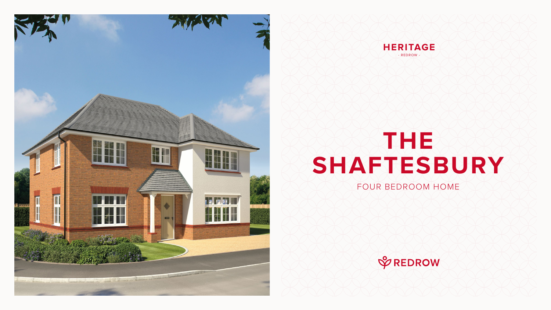# **THE SHAFTESBURY**

#### FOUR BEDROOM HOME







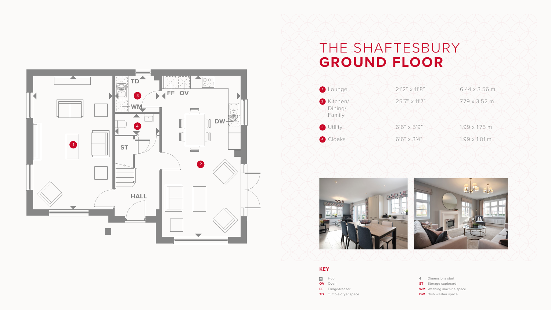### THE SHAFTESBURY **GROUND FLOOR**





- Dimensions start
- **ST** Storage cupboard
- **WM** Washing machine space
- **DW** Dish washer space





#### **KEY**

- **so** Hob
- **OV** Oven
- **FF** Fridge/freezer
- **TD** Tumble dryer space